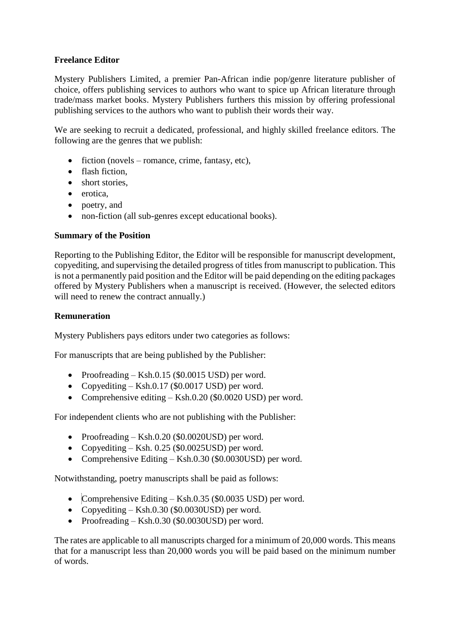# **Freelance Editor**

Mystery Publishers Limited, a premier Pan-African indie pop/genre literature publisher of choice, offers publishing services to authors who want to spice up African literature through trade/mass market books. Mystery Publishers furthers this mission by offering professional publishing services to the authors who want to publish their words their way.

We are seeking to recruit a dedicated, professional, and highly skilled freelance editors. The following are the genres that we publish:

- $\bullet$  fiction (novels romance, crime, fantasy, etc),
- flash fiction,
- short stories.
- erotica.
- poetry, and
- non-fiction (all sub-genres except educational books).

## **Summary of the Position**

Reporting to the Publishing Editor, the Editor will be responsible for manuscript development, copyediting, and supervising the detailed progress of titles from manuscript to publication. This is not a permanently paid position and the Editor will be paid depending on the editing packages offered by Mystery Publishers when a manuscript is received. (However, the selected editors will need to renew the contract annually.)

### **Remuneration**

Mystery Publishers pays editors under two categories as follows:

For manuscripts that are being published by the Publisher:

- Proofreading Ksh.0.15 (\$0.0015 USD) per word.
- Copyediting Ksh.0.17 (\$0.0017 USD) per word.
- Comprehensive editing Ksh.0.20 (\$0.0020 USD) per word.

For independent clients who are not publishing with the Publisher:

- Proofreading Ksh.0.20 (\$0.0020USD) per word.
- Copyediting Ksh. 0.25 (\$0.0025USD) per word.
- Comprehensive Editing Ksh.0.30 (\$0.0030USD) per word.

Notwithstanding, poetry manuscripts shall be paid as follows:

- Comprehensive Editing Ksh.0.35 (\$0.0035 USD) per word.
- Copyediting Ksh.0.30 (\$0.0030USD) per word.
- Proofreading Ksh.0.30 (\$0.0030USD) per word.

The rates are applicable to all manuscripts charged for a minimum of 20,000 words. This means that for a manuscript less than 20,000 words you will be paid based on the minimum number of words.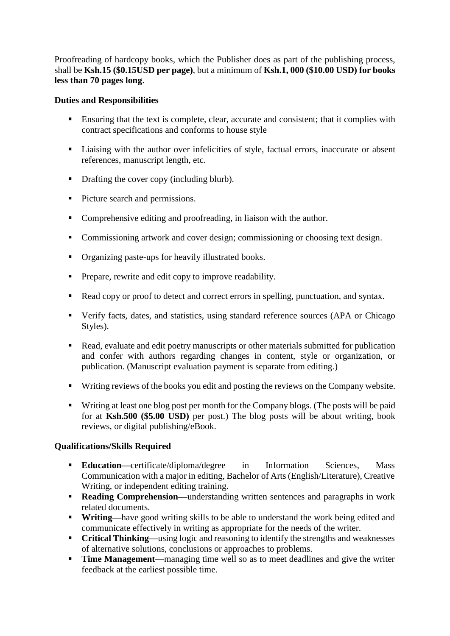Proofreading of hardcopy books, which the Publisher does as part of the publishing process, shall be **Ksh.15 (\$0.15USD per page)**, but a minimum of **Ksh.1, 000 (\$10.00 USD) for books less than 70 pages long**.

### **Duties and Responsibilities**

- Ensuring that the text is complete, clear, accurate and consistent; that it complies with contract specifications and conforms to house style
- Liaising with the author over infelicities of style, factual errors, inaccurate or absent references, manuscript length, etc.
- Drafting the cover copy (including blurb).
- Picture search and permissions.
- Comprehensive editing and proofreading, in liaison with the author.
- Commissioning artwork and cover design; commissioning or choosing text design.
- Organizing paste-ups for heavily illustrated books.
- **Prepare, rewrite and edit copy to improve readability.**
- Read copy or proof to detect and correct errors in spelling, punctuation, and syntax.
- Verify facts, dates, and statistics, using standard reference sources (APA or Chicago Styles).
- Read, evaluate and edit poetry manuscripts or other materials submitted for publication and confer with authors regarding changes in content, style or organization, or publication. (Manuscript evaluation payment is separate from editing.)
- Writing reviews of the books you edit and posting the reviews on the Company website.
- Writing at least one blog post per month for the Company blogs. (The posts will be paid for at **Ksh.500 (\$5.00 USD)** per post.) The blog posts will be about writing, book reviews, or digital publishing/eBook.

## **Qualifications/Skills Required**

- **Education—certificate/diploma/degree in Information Sciences, Mass** Communication with a major in editing, Bachelor of Arts (English/Literature), Creative Writing, or independent editing training.
- **Reading Comprehension—**understanding written sentences and paragraphs in work related documents.
- **Writing—**have good writing skills to be able to understand the work being edited and communicate effectively in writing as appropriate for the needs of the writer.
- **Critical Thinking—using logic and reasoning to identify the strengths and weaknesses** of alternative solutions, conclusions or approaches to problems.
- **Time Management—**managing time well so as to meet deadlines and give the writer feedback at the earliest possible time.